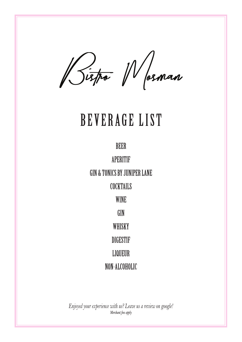Bispo Wosman

# BEVERAGE LIST

BEER

APERITIF GIN & TONICS BY JUNIPER LANE **COCKTAILS** WINE GIN **WHISKY** DIGESTIF LIQUEUR NON-ALCOHOLIC

*Enjoyed your experience with us? Leave us a review on google! Merchant fees apply*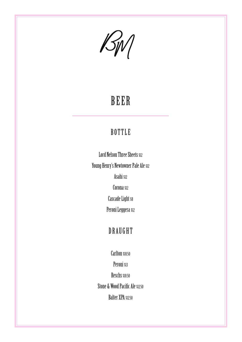$\mathcal{B}_{N}$ 

## BEER

### BOTTLE

Lord Nelson Three Sheets \$12 Young Henry's Newtowner Pale Ale \$12 Asahi \$12 Corona \$12 Cascade Light s8 Peroni Leggera sız

### DRAUGHT

Carlton \$10.50 Peroni \$13

Reschs \$10.50 Stone & Wood Pacific Ale \$12.50 Balter XPA \$12.50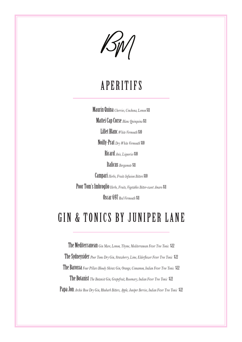$\mathcal{B}_{\text{IV}}$ 

## APERITIFS

Maurin Quina *Cherries, Cinchona, Lemon* \$11 Mattei Cap Corse *Blanc Quinquina* \$11

Lillet Blanc*White Vermouth* \$10

Noilly-Prat *Dry White Vermouth* \$10

Ricard*Anis, Liquorice* \$10

Italicus *Bergamote* \$11

Campari *Herbs, Fruits Infusion Bitters* \$10

Poor Tom's Imbroglio*Herbs, Fruits, Vegetables Bitter-sweet Amaro* \$11

Oscar 697 *Red Vermouth* \$11

### GIN & TONICS BY JUNIPER LANE

The Mediterranean *Gin Mare, Lemon, Thyme, Mediterranean Fever Tree Tonic* \$22 The Sydneysider *Poor Toms Dry Gin, Strawberry, Lime, Elderflower Fever Tree Tonic* \$22 The Barossa *Four Pillars Bloody Shiraz Gin, Orange, Cinnamon, Indian Fever Tree Tonic* \$22 The Botanist *The Botanist Gin, Grapefruit, Rosemary, Indian Fever Tree Tonic* \$22 Papa Jon Archie Rose Dry Gin, Rhubarb Bitters, Apple, Juniper Berries, Indian Fever Tree Tonic \$22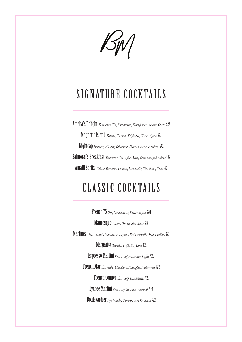$\mathcal{K}_{\emptyset}$ 

## SIGNATURE COCKTAILS

Amelia's Delight *Tanqueray Gin, Raspberries, Elderflower Liqueur, Citrus* \$22 Magnetic Island *Tequila, Coconut, Triple Sec, Citrus, Agave* \$22 Nightcap *Hennessy VS, Fig, Valdespino Sherry, Chocolate Bitters* \$22 Balmoral's Breakfast *Tanqueray Gin, Apple, Mint, Veuve Clicquot, Citrus* \$22 Amalfi Spritz *Italicus Bergamot Liqueur, Limoncello, Sparkling , Soda* \$22

## CLASSIC COCKTAILS

French 75 *Gin, Lemon Juice, Veuve Cliquot* \$28 Mauresque *Ricard, Orgeat, Star Anise* \$14 Martinez *Gin, Luxardo Maraschino Liqueur, Red Vermouth, Orange Bitters* \$23 Margarita *Tequila, Triple Sec, Lime* \$21 Espresso Martini *Vodka, Coffee Liqueur, Coffee* \$20 French Martini *Vodka, Chambord, Pineapple, Raspberries* \$22 French Connection *Cognac, Amaretto* \$21 Lychee Martini *Vodka, Lychee Juice, Vermouth* \$19 Boulevardier *Rye Whisky, Campari, Red Vermouth* \$22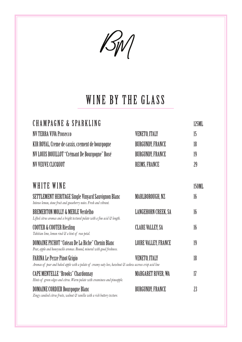$\mathcal{B}_{\mathcal{W}}$ 

## WINE BY THE GLASS

| CHAMPAGNE & SPARKLING                                                                                                                       |                             | 125ML        |
|---------------------------------------------------------------------------------------------------------------------------------------------|-----------------------------|--------------|
| <b>NV TERRA VIVA Prosecco</b>                                                                                                               | <b>VENETO, ITALY</b>        | 15           |
| KIR ROYAL, Creme de cassis, crement de bourgogne                                                                                            | <b>BURGUNDY, FRANCE</b>     | 18           |
| NV LOUIS BOUILLOT "Crémant De Bourgogne" Rosé                                                                                               | <b>BURGUNDY, FRANCE</b>     | 19           |
| <b>NV VEUVE CLICQUOT</b>                                                                                                                    | <b>REIMS, FRANCE</b>        | 29           |
| WHITE WINE                                                                                                                                  |                             | <b>150ML</b> |
| SETTLEMENT HERITAGE Single Vinyard Sauvignon Blanc<br>Intense lemon, stone fruit and gooseberry notes. Fresh and vibrant.                   | MARLBOROUGH, NZ             | 16           |
| <b>BREMERTON MOLLY &amp; MERLE Verdelho</b><br>Lifted citrus aromas and a bright textural palate with a fine acid & length.                 | LANGEHORN CREEK, SA         | 16           |
| <b>COOTER &amp; COOTER Riesling</b><br>Tahitian lime, lemon rind & a hint of rose petal.                                                    | <b>CLARE VALLEY, SA</b>     | 16           |
| DOMAINE PICHOT "Coteau De La Biche" Chenin Blanc<br>Pear, apple and honeysuckle aromas. Round, mineral with good freshness.                 | <b>LOIRE VALLEY, FRANCE</b> | 19           |
| FARINA Le Pezze Pinot Grigio<br>Aromas of pear and baked apple with a palate of creamy oaty lees, hazelnut & cashew accross crisp acid line | <b>VENETO, ITALY</b>        | 18           |
| <b>CAPE MENTELLE "Brooks" Chardonnay</b><br>Hints of green edges and citrus. Warm palate with creaminess and pineapple.                     | <b>MARGARET RIVER, WA</b>   | 17           |
| <b>DOMAINE CORDIER Bourgogne Blanc</b><br>Zingy candied citrus fruits, walnut & vanilla with a rich buttery texture.                        | <b>BURGUNDY, FRANCE</b>     | 23           |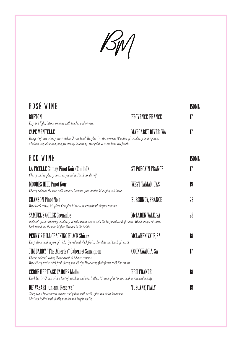$\mathcal{B}_{\mathcal{W}}$ 

| ROSÉ WINE                                                                                                                                                                                                                      |                         | <b>150ML</b> |
|--------------------------------------------------------------------------------------------------------------------------------------------------------------------------------------------------------------------------------|-------------------------|--------------|
| <b>BRETON</b><br>Dry and light, intense bouquet with peaches and berries.                                                                                                                                                      | <b>PROVENCE, FRANCE</b> | 17           |
| <b>CAPE MENTELLE</b><br>Bouquet of strawberry, watermelon & rose petal. Raspberries, strawberries & a hint of cranberry on the palate.<br>Medium weight with a juicy yet creamy balance of rose petal & green lime zest finish | MARGARET RIVER, WA      | 17           |
| RED WINE                                                                                                                                                                                                                       |                         | <b>150ML</b> |
| LA FICELLE Gamay, Pinot Noir (Chilled)<br>Cherry and raspberry notes, easy tannins. Fresh vin de soif.                                                                                                                         | ST PORCAIN FRANCE       | 17           |
| <b>MOORES HILL Pinot Noir</b><br>Cherry notes on the nose with savoury flavours, fine tannins & a spicy oak touch                                                                                                              | WEST TAMAR, TAS         | 19           |
| <b>CHANSON Pinot Noir</b><br>Ripe black cerries & spices. Complex & well-structuredwith elegant tannins                                                                                                                        | <b>BURGUNDY, FRANCE</b> | 23           |
| SAMUEL'S GORGE Grenache<br>Notes of fresh raspberry, cranberry & red currant weave with the perfumed scent of musk. Blood orange & cassia<br>bark round out the nose & flow through to the palate                              | MCLAREN VALE, SA        | 23           |
| PENNY'S HILL CRACKING BLACK Shiraz<br>Deep, dense with layers of rich, ripe red and black fruits, chocolate and touch of earth.                                                                                                | <b>MCLAREN VALE, SA</b> | 18           |
| JIM BARRY "The Atherley" Cabernet Sauvignon<br>Classic notes of cedar, blackcurrent & tobacco aromas.<br>Ripe & expressive with fresh cherry jam & ripe black berry fruit flavours & fine tannins                              | COONAWARRA, SA          | 17           |
| <b>CEDRE HERITAGE CAHORS Malbec</b><br>Dark berries & oak with a hint of choclate and new leather. Medium plus tannins with a balanced acidity                                                                                 | <b>BRU, FRANCE</b>      | 18           |
| DE' VASARI "Chianti Reserva"<br>Spicy red 7 blackcurrent aromas and palate with earth, spice and dried herbs note.<br>Medium bodied with chalky tannins and bright acidity                                                     | TUSCANY, ITALY          | 18           |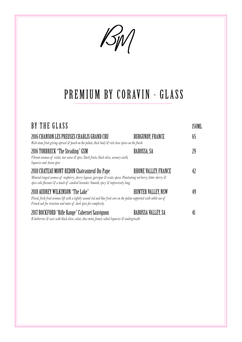$\mathcal{B}_{N}$ 

## PREMIUM BY CORAVIN - GLASS

| BY THE GLASS                                                                                                                                                                                                                                                 |                             |    |
|--------------------------------------------------------------------------------------------------------------------------------------------------------------------------------------------------------------------------------------------------------------|-----------------------------|----|
| 2016 CHANSON LES PREUSES CHABLIS GRAND CRU<br>Rich stone fruit giving apricot & peach on the palate, thick body & rich clove spices on the finish                                                                                                            | <b>BURGUNDY, FRANCE</b>     | 65 |
| 2016 TORBRECK "The Steading" GSM<br>Vibrant aromas of violet, star anise & spice. Dark fruits, black olive, savoury earth,<br>liquorice and Asian spice                                                                                                      | BAROSSA, SA                 |    |
| 2018 CHATEAU MONT-REDON Chateauneuf-Du-Pape<br>Mineral-tinged aromas of raspberry, cherry liqueur, garrigue & exotic spices. Penetrating red berry, bitter cherry &<br>spice cake flavours & a touch of candied lavender. Smooth, spicy & impressively long. | <b>RHONE VALLEY, FRANCE</b> |    |
| 2018 AUDREY WILKINSON "The Lake"<br>Floral, fresh fruit aromas lift with a tightly wound red and blue fruit core on the palate supported with subtle use of<br>French oak for structure and notes of dark spice for complexity                               | HUNTER VALLEY, NSW          |    |
| 2017 ROCKFORD "Rifle Range" Cabernet Sauvignon<br>B lueberries & casis with black olive, cedar, choc-mint, fennel, salted liquorice & undergrowth                                                                                                            | BAROSSA VALLEY, SA          |    |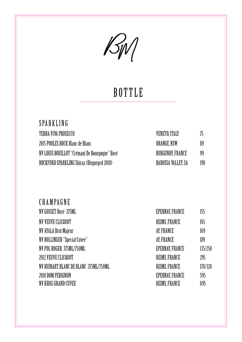

## **BOTTLE**

| <b>SPARKLING</b>                              |                           |     |
|-----------------------------------------------|---------------------------|-----|
| TERRA VIVA PROSECCO                           | <b>VENETO, ITALY</b>      | 75  |
| 2015 POOLES ROCK Blanc de Blanc               | ORANGE, NSW               | 89  |
| NV LOUIS BOUILLOT "Crémant De Bourgogne" Rosé | <b>BURGUNDY, FRANCE</b>   | 99  |
| ROCKFORD SPARKLING Shiraz (Disgorged 2018)    | <b>BAROSSA VALLEY, SA</b> | 190 |

| CHAMPAGNE                             |                        |         |
|---------------------------------------|------------------------|---------|
| NV GOSSET Rosé 375ML                  | <b>EPERNAY, FRANCE</b> | 155     |
| NV VEUVE CLICQUOT                     | <b>REIMS, FRANCE</b>   | 165     |
| <b>NV AYALA Brut Majeur</b>           | AY, FRANCE             | 169     |
| <b>NV BOLLINGER "Special Cuvee"</b>   | AY, FRANCE             | 189     |
| NV POL ROGER 375ML/750ML              | <b>EPERNAY, FRANCE</b> | 135/250 |
| 2012 VEUVE CLICQUOT                   | <b>REIMS, FRANCE</b>   | 295     |
| NV RUINART BLANC DE BLANC 375ML/750ML | REIMS, FRANCE          | 170/320 |
| 2010 DOM PERIGNON                     | <b>EPERNAY, FRANCE</b> | 595     |
| NY KRUG GRAND CUVEE                   | <b>REIMS, FRANCE</b>   | 695     |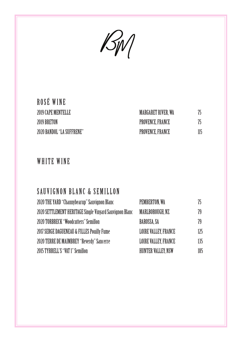$\mathcal{B}_{\mathcal{W}}$ 

### ROSÉ WINE 2019 CAPE MENTELLE 2019 BRETON 2020 BANDOL "LA SUFFRENE"

| <b>MARGARET RIVER, WA</b> | 75  |
|---------------------------|-----|
| PROVENCE, FRANCE          | 75  |
| PROVENCE, FRANCE          | 115 |

#### WHITE WINE

#### SAUVIGNON BLANC & SEMILLON

| 2020 THE YARD "Channybearup" Sauvignon Blanc            | PEMBERTON, WA               | 75  |
|---------------------------------------------------------|-----------------------------|-----|
| 2020 SETTLEMENT HERITAGE Single Vinyard Sauvignon Blanc | MARLBOROUGH, NZ             | 79  |
| <b>2020 TORBRECK "Woodcutters" Semillon</b>             | BAROSSA, SA                 | 79  |
| 2017 SERGE DAGUENEAU & FILLES Pouilly Fume              | <b>LOIRE VALLEY, FRANCE</b> | 125 |
| 2020 TERRE DE MAIMBREY "Reverdy" Sancerre               | <b>LOIRE VALLEY, FRANCE</b> | 135 |
| 2015 TYRRELL'S "VAT 1" Semillon                         | <b>HUNTER VALLEY, NSW</b>   | 185 |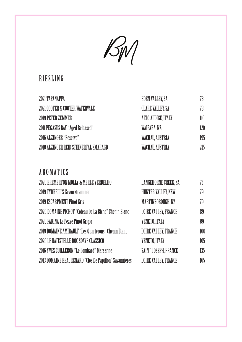$\mathcal{B}_{\mathcal{W}}$ 

### RIESLING

| 2021 TAPANAPPA                        | EDEN VALLEY, SA         | 78  |
|---------------------------------------|-------------------------|-----|
| 2021 COOTER & COOTER WATERVALE        | <b>CLARE VALLEY, SA</b> | 78  |
| 2019 PETER ZEMMER                     | ALTO ALDIGE, ITALY      | 110 |
| 2011 PEGASUS BAY "Aged Released"      | WAIPARA, NZ             | 120 |
| 2016 ALZINGER "Reserve"               | WACHAU, AUSTRIA         | 195 |
| 2018 ALZINGER REID STEINERTAL SMARAGD | WACHAU, AUSTRIA         | 215 |

### AROMATICS

| 2020 BREMERTON MOLLY & MERLE VERDELHO                  | <b>LANGEHORNE CREEK, SA</b> | 75  |
|--------------------------------------------------------|-----------------------------|-----|
| <b>2019 TYRRELL'S Gewurztraminer</b>                   | <b>HUNTER VALLEY, NSW</b>   | 79  |
| 2019 ESCARPMENT Pinot Gris                             | MARTINBOROUGH, NZ           | 79  |
| 2020 DOMAINE PICHOT "Coteau De La Biche" Chenin Blanc  | <b>LOIRE VALLEY, FRANCE</b> | 89  |
| 2020 FARINA Le Pezze Pinot Grigio                      | <b>VENETO, ITALY</b>        | 89  |
| 2019 DOMAINE AMIRAULT "Les Quarterons" Chenin Blanc    | <b>LOIRE VALLEY, FRANCE</b> | 100 |
| 2020 LE BATISTELLE DOC SOAVE CLASSICO                  | <b>VENETO, ITALY</b>        | 105 |
| 2016 YVES CUILLERON "Le Lombard" Marsanne              | SAINT JOSEPH, FRANCE        | 135 |
| 2013 DOMAINE BEAURENARD "Clos De Papillon" Savannieres | <b>LOIRE VALLEY, FRANCE</b> | 165 |
|                                                        |                             |     |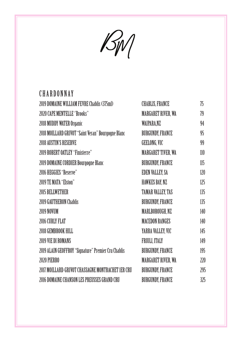$\mathcal{B}_{\mathcal{W}}$ 

### **CHARDONNAY**

| 2019 DOMAINE WILLIAM FEVRE Chablis (375ml)          | <b>CHABLIS, FRANCE</b>    | 75  |
|-----------------------------------------------------|---------------------------|-----|
| <b>2020 CAPE MENTELLE "Brooks"</b>                  | <b>MARGARET RIVER, WA</b> | 79  |
| <b>2018 MUDDY WATER Organic</b>                     | WAIPARA, NZ               | 94  |
| 2018 MOILLARD GRIVOT "Saint Veran" Bourgogne Blanc  | <b>BURGUNDY, FRANCE</b>   | 95  |
| <b>2018 AUSTIN'S RESERVE</b>                        | GEELONG, VIC              | 99  |
| <b>2019 ROBERT OATLEY "Finisterre"</b>              | <b>MARGARET TIVER, WA</b> | 110 |
| 2019 DOMAINE CORDIER Bourgogne Blanc                | <b>BURGUNDY, FRANCE</b>   | 115 |
| 2016 HEGGIES "Reserve"                              | <b>EDEN VALLEY, SA</b>    | 120 |
| 2019 TE MATA "Elston"                               | <b>HAWKES BAY, NZ</b>     | 125 |
| <b>2015 BELLWETHER</b>                              | <b>TAMAR VALLEY, TAS</b>  | 135 |
| <b>2019 GAUTHERON Chablis</b>                       | <b>BURGUNDY, FRANCE</b>   | 135 |
| 2019 NOVUM                                          | MARLBOROUGH, NZ           | 140 |
| 2016 CURLY FLAT                                     | <b>MACEDON RANGES</b>     | 140 |
| 2018 GEMBROOK HILL                                  | YARRA VALLEY, VIC         | 145 |
| 2019 VIE DI ROMANS                                  | FRIULI, ITALY             | 149 |
| 2019 ALAIN GEOFFROY "Signature" Premier Cru Chablis | <b>BURGUNDY, FRANCE</b>   | 195 |
| 2020 PIERRO                                         | <b>MARGARET RIVER, WA</b> | 220 |
| 2017 MOILLARD-GRIVOT CHASSAGNE MONTRACHET 1ER CRU   | <b>BURGUNDY, FRANCE</b>   | 295 |
| 2016 DOMAINE CHANSON LES PREUSSES GRAND CRU         | <b>BURGUNDY, FRANCE</b>   | 325 |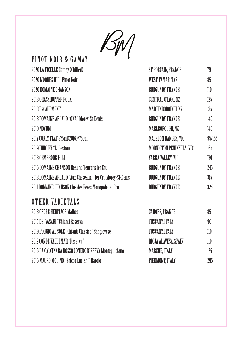$\mathcal{B}_{\mathcal{W}}$ 

| ι<br>PINOT NOIR & GAMAY                                   |                            |        |
|-----------------------------------------------------------|----------------------------|--------|
| 2020 LA FICELLE Gamay (Chilled)                           | ST PORCAIN, FRANCE         | 79     |
| 2020 MOORES HILL Pinot Noir                               | <b>WEST TAMAR, TAS</b>     | 85     |
| 2020 DOMAINE CHANSON                                      | <b>BURGUNDY, FRANCE</b>    | 110    |
| 2018 GRASSHOPPER ROCK                                     | CENTRAL OTAGO, NZ          | 125    |
| 2018 ESCARPMENT                                           | MARTINBOROUGH, NZ          | 135    |
| 2018 DOMAINE ARLAUD "OKA" Morey-St-Denis                  | <b>BURGUNDY, FRANCE</b>    | 140    |
| 2019 NOVUM                                                | MARLBOROUGH, NZ            | 140    |
| 2017 CURLY FLAT 375ml(2016)/750ml                         | <b>MACEDON RANGES, VIC</b> | 95/155 |
| 2019 HURLEY "Lodestone"                                   | MORNIGTON PENINSULA, VIC   | 165    |
| 2018 GEMBROOK HILL                                        | YARRA VALLEY, VIC          | 170    |
| 2016 DOMAINE CHANSON Beaune Teurons 1er Cru               | <b>BURGUNDY, FRANCE</b>    | 245    |
| 2018 DOMAINE ARLAUD "Aux Cheseaux" 1er Cru Morey-St-Denis | <b>BURGUNDY, FRANCE</b>    | 315    |
| 2011 DOMAINE CHANSON Clos des Feves Monopole 1er Cru      | <b>BURGUNDY, FRANCE</b>    | 325    |
| OTHER VARIETALS                                           |                            |        |
| <b>2018 CEDRE HERITAGE Malbec</b>                         | <b>CAHORS, FRANCE</b>      | 85     |
| 2015 DE' VASARI "Chianti Reserva"                         | TUSCANY, ITALY             | 90     |
| 2019 POGGIO AL SOLE "Chianti Classico" Sangiovese         | TUSCANY, ITALY             | 110    |
| <b>2012 CONDE VALDEMAR "Reserva"</b>                      | RIOJA ALAVESA, SPAIN       | 110    |
| 2016 LA CALCINARA ROSSO CONERO RISERVA Montepulciano      | MARCHE, ITALY              | 125    |
| 2016 MAURO MOLINO "Bricco Luciani" Barolo                 | PIEDMONT, ITALY            | 295    |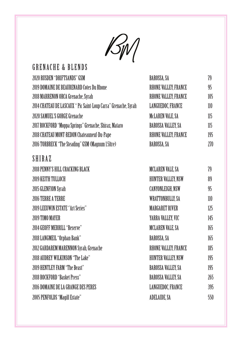

### GRENACHE & BLENDS

| 2020 RUSDEN "DRIFTSANDS" GSM                                    | BAROSSA, SA                 | 79  |
|-----------------------------------------------------------------|-----------------------------|-----|
| 2019 DOMAINE DE BEAURENARD Cotes Du Rhone                       | RHONE VALLEY, FRANCE        | 95  |
| 2018 MARRENON ORCA Grenache, Syrah                              | <b>RHONE VALLEY, FRANCE</b> | 105 |
| 2014 CHATEAU DE LASCAUX " Pic Saint-Loup Carra" Grenache, Syrah | <b>LANGUEDOC, FRANCE</b>    | 110 |
| 2020 SAMUEL'S GORGE Grenache                                    | <b>MCLAREN VALE, SA</b>     | 115 |
| 2017 ROCKFORD "Moppa Springs" Grenache, Shiraz, Mataro          | <b>BAROSSA VALLEY, SA</b>   | 115 |
| 2018 CHATEAU MONT-REDON Chateauneuf-Du-Pape                     | RHONE VALLEY, FRANCE        | 195 |
| 2016 TORBRECK "The Steading" GSM (Magnum 1.5ltre)               | BAROSSA, SA                 | 270 |

#### SHIRAZ

| 2018 PENNY'S HILL CRACKING BLACK        | <b>MCLAREN VALE, SA</b>     | 79  |
|-----------------------------------------|-----------------------------|-----|
| 2019 KEITH TULLOCH                      | <b>HUNTER VALLEY, NSW</b>   | 89  |
| 2015 GLENFION Syrah                     | <b>CANYONLEIGH, NSW</b>     | 95  |
| 2016 TERRE A TERRE                      | <b>WRATTONBULLY, SA</b>     | 110 |
| <b>2019 LEEUWIN ESTATE "Art Series"</b> | <b>MARGARET RIVER</b>       | 125 |
| 2019 TIMO MAYER                         | YARRA VALLEY, VIC           | 145 |
| <b>2014 GEOFF MERRILL "Reserve"</b>     | <b>MCLAREN VALE, SA</b>     | 165 |
| 2018 LANGMEIL "Orphan Bank"             | BAROSSA, SA                 | 165 |
| 2012 GARDAREM MARENNON Syrah, Grenache  | <b>RHONE VALLEY, FRANCE</b> | 185 |
| 2018 AUDREY WILKINSON "The Lake"        | <b>HUNTER VALLEY, NSW</b>   | 195 |
| <b>2019 HENTLEY FARM "The Beast"</b>    | <b>BAROSSA VALLEY, SA</b>   | 195 |
| <b>2018 ROCKFORD "Basket Press"</b>     | <b>BAROSSA VALLEY, SA</b>   | 265 |
| 2016 DOMAINE DE LA GRANGE DES PERES     | <b>LANGUEDOC, FRANCE</b>    | 395 |
| 2005 PENFOLDS "Magill Estate"           | <b>ADELAIDE, SA</b>         | 550 |
|                                         |                             |     |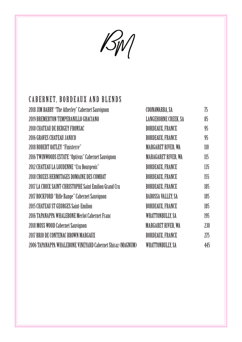$\mathcal{B}_{\mathcal{W}}$ 

### CABERNET, BORDEAUX AND BLENDS

| <b>2018 JIM BARRY "The Atherley" Cabernet Sauvignon</b>    | COONAWARRA, SA              | 75  |
|------------------------------------------------------------|-----------------------------|-----|
| 2019 BREMERTON TEMPERANILLO GRACIANO                       | <b>LANGEHORNE CREEK, SA</b> | 85  |
| <b>2018 CHATEAU DE BERGEY FRONSAC</b>                      | <b>BORDEAUX, FRANCE</b>     | 95  |
| 2016 GRAVES CHATEAU JANICO                                 | <b>BORDEAUX, FRANCE</b>     | 95  |
| <b>2018 ROBERT OATLEY "Finisterre"</b>                     | <b>MARGARET RIVER, WA</b>   | 110 |
| 2016 TWINWOODS ESTATE "Optivus" Cabernet Sauvignon         | <b>MARAGARET RIVER, WA</b>  | 115 |
| <b>2012 CHATEAU LA LOUDENNE "Cru Bourgeois"</b>            | <b>BORDEAUX, FRANCE</b>     | 135 |
| 2018 CROZES HERMITAGES DOMAINE DES COMBAT                  | <b>BORDEAUX, FRANCE</b>     | 155 |
| 2017 LA CROIX SAINT-CHRISTOPHE Saint Emilion Grand Cru     | <b>BORDEAUX, FRANCE</b>     | 185 |
| 2017 ROCKFORD "Rifle Range" Cabernet Sauvignon             | <b>BAROSSA VALLEY, SA</b>   | 185 |
| 2015 CHATEAU ST GEORGES Saint-Emilion                      | <b>BORDEAUX, FRANCE</b>     | 185 |
| 2016 TAPANAPPA WHALEBONE Merlot Cabernet Franc             | <b>WRATTONBULLY, SA</b>     | 195 |
| 2018 MOSS WOOD Cabernet Sauvignon                          | <b>MARGARET RIVER, WA</b>   | 230 |
| 2017 BRIO DE CONTENAC BROWN MARGAUX                        | <b>BORDEAUX, FRANCE</b>     | 275 |
| 2006 TAPANAPPA WHALEBONE VINEYARD Cabernet Shiraz (MAGNUM) | <b>WRATTONBULLY, SA</b>     | 445 |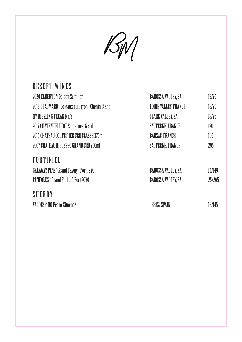$\mathcal{B}_{W}$ 

| DESERT WINES                                  |                             |        |
|-----------------------------------------------|-----------------------------|--------|
| <b>2020 ELDERTON Golden Semillon</b>          | <b>BAROSSA VALLEY, SA</b>   | 13/75  |
| 2018 BEAUMARD "Coteaux du Layon" Chenin Blanc | <b>LOIRE VALLEY, FRANCE</b> | 13/75  |
| <b>NV RIESLING FREAK No. 7</b>                | <b>CLARE VALLEY, SA</b>     | 13/75  |
| 2017 CHATEAU FILHOT Sauternes 375ml           | <b>SAUTERNE, FRANCE</b>     | 120    |
| 2015 CHATEAU COUTET 1ER CRU CLASSE 375ml      | <b>BARSAC, FRANCE</b>       | 165    |
| 2007 CHATEAU RIEUSSEC GRAND CRU 750ml         | <b>SAUTERNE, FRANCE</b>     | 295    |
| FORTIFIED                                     |                             |        |
| <b>GALAWAY PIPE "Grand Tawny" Port 12YO</b>   | <b>BAROSSA VALLEY, SA</b>   | 14/149 |
| <b>PENFOLDS "Grand Father" Port 20YO</b>      | <b>BAROSSA VALLEY, SA</b>   | 25/265 |
| <b>SHERRY</b>                                 |                             |        |
| <b>VALDESPINO Pedro Ximenez</b>               | <b>JEREZ, SPAIN</b>         | 18/145 |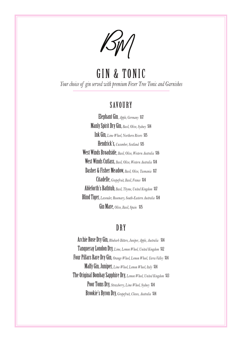/SW/

GIN & TONIC *Your choice of gin served with premium Fever Tree Tonic and Garnishes*

#### **SAVOURY**

Elephant Gin*, Apple, Germany* \$17 Manly Spirit Dry Gin, *Basil, Olive, Sydney* \$14 Ink Gin, *Lime Wheel, Northern Rivers* \$15 Hendrick's, *Cucumber, Scotland* \$15 West Winds Broadside, *Basil, Olive, Western Australia* \$16 West Winds Cutlass, *Basil, Olive, Western Australia* \$14 Dasher & Fisher Meadow, *Basil, Olive, Tasmania* \$17 Citadelle, *Grapefruit, Basil, France* \$14 Ableforth's Bathtub, *Basil, Thyme, United Kingdom* \$17 Blind Tiger, *Lavender, Rosemary, South-Eastern Australia* \$14 Gin Mare, *Olive, Basil, Spain* \$15

#### **DRY**

Archie Rose Dry Gin, *Rhubarb Bitters, Juniper, Apple, Australia* \$14 Tanqueray London Dry, *Lime, Lemon Wheel, United Kingdom* \$12 Four Pillars Rare Dry Gin, *Orange Wheel, Lemon Wheel, Yarra Valley* \$14 Malfy Gin, Juniper, *Lime Wheel, Lemon Wheel, Italy* \$14 The Original Bombay Sapphire Dry, *Lemon Wheel, United Kingdom* \$13 Poor Toms Dry, *Strawberry, Lime Wheel, Sydney* \$14 Brookie's Byron Dry, *Grapefruit, Cloves, Australia* \$14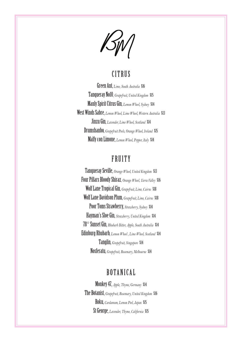$\mathbb{Z}/\mathbb{Z}/\mathbb{Z}/\mathbb{Z}/\mathbb{Z}/\mathbb{Z}/\mathbb{Z}/\mathbb{Z}/\mathbb{Z}/\mathbb{Z}/\mathbb{Z}/\mathbb{Z}/\mathbb{Z}/\mathbb{Z}/\mathbb{Z}/\mathbb{Z}/\mathbb{Z}/\mathbb{Z}/\mathbb{Z}/\mathbb{Z}/\mathbb{Z}/\mathbb{Z}/\mathbb{Z}/\mathbb{Z}/\mathbb{Z}/\mathbb{Z}/\mathbb{Z}/\mathbb{Z}/\mathbb{Z}/\mathbb{Z}/\mathbb{Z}/\mathbb{Z}/\mathbb{Z}/\mathbb{Z}/\mathbb{Z}/\mathbb{Z}/\mathbb{$ 

#### **CITRUS**

Green Ant, *Lime, South Australia* \$16 Tanqueray No10*, Grapefruit, United Kingdom* \$15 Manly Spirit Citrus Gin, *Lemon Wheel, Sydney* \$14 West Winds Sabre, *Lemon Wheel, Lime Wheel, Western Australia* \$13 Jinzu Gin, *Lavender, Lime Wheel, Scotland* \$14 Drumshanbo, *Grapefruit Peels, Orange Wheel, Ireland* \$15 Malfy con Limone, *Lemon Wheel, Pepper, Italy* \$14

#### FRUITY

Tanqueray Seville, *Orange Wheel, United Kingdom* \$13 Four Pillars Bloody Shiraz*, Orange Wheel, Yarra Valley* \$16 Wolf Lane Tropical Gin, *Grapefruit, Lime, Cairns* \$18 Wolf Lane Davidson Plum, *Grapefruit, Lime, Cairns* \$18 Poor Toms Strawberry, *Strawberry, Sydney* \$14 Hayman's Sloe Gin, *Strawberry, United Kingdom* \$14 78° Sunset Gin, *Rhubarb Bitter, Apple, South Australia* \$14 Edinburg Rhubarb, *Lemon Wheel , Lime Wheel, Scotland* \$14 Tanglin, *Grapefruit, Singapore* \$14 Nosferatu, *Grapefruit, Rosemary, Melbourne* \$14

#### BOTANICAL

Monkey 47, *Apple, Thyme, Germany* \$14 The Botanist, *Grapefruit, Rosemary, United Kingdom* \$16 Roku, *Cardamum, Lemon Peel, Japan* \$15 St George, *Lavender, Thyme, California* \$15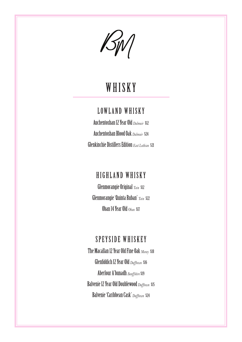BM

## WHISKY

### LOWLAND WHISKY

Auchentoshan 12 Year Old *Dalmuir* \$12 Auchentoshan Blood Oak *Dalmuir* \$24 Glenkinchie Distillers Edition *East Lothian* \$21

### HIGHLAND WHISKY

Glenmorangie Original *Tain* \$12 Glenmorangie 'Quinta Ruban' *Tain* \$22 Oban 14 Year Old *Oban* \$17

#### SPEYSIDE WHISKEY

The Macallan 12 Year Old Fine Oak *Moray* \$18 Glenfiddich 12 Year Old *Dufftown* \$16 Aberlour A'bunadh *Banffshire* \$19 Balvenie 12 Year Old Doublewood *Dufftown* \$15 Balvenie 'Caribbean Cask' *Dufftown* \$24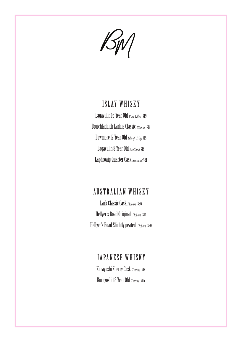$\mathscr{B}_{\mathscr{W}}$ 

#### ISLAY WHISKY

Lagavulin 16 Year Old *Port Ellen* \$19 Bruichladdich Laddie Classic *Rhinns* \$14 Bowmore 12 Year Old *Isle of Islay* \$15 Lagavulin 8 Year Old *Scotland* \$16 Laphroaig Quarter Cask *Scotland* \$21

#### AUSTRALIAN WHISKY

Lark Classic Cask *Hobart* \$36 Hellyer's Road Original *Hobart* \$14 Hellyer's Road Slightly peated *Hobart* \$20

### JAPANESE WHISKY

Kurayoshi Sherry Cask *Tottori* \$18 Kurayoshi 18 Year Old *Tottori* \$65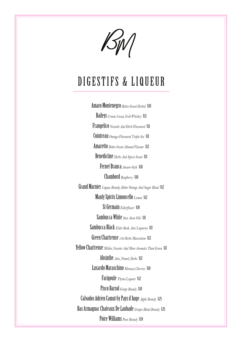$\mathcal{B}_{\text{IV}}$ 

## DIGESTIFS & LIQUEUR

Amaro Montenegro *Bitter-Sweet Herbal* \$10 Baileys *Cream, Cocoa, Irish Whiskey* \$12 Frangelico *Noisette And Herb-Flavoured* \$11 Cointreau *Orange-Flavoured Triple-Sec* \$11 Amaretto *Bitter-Sweet Almond Flavour* \$12 Benedictine *Herbs And Spices Sweet* \$11 Fernet Branca *Amaro-Style* \$10 Chambord *Raspberry* \$10 Grand Marnier *Cognac Brandy, Bitter Orange And Sugar Blend* \$12 Manly Spirits Limoncello *Lemon* \$12 St Germain *Elderflower* \$10 Sambucca White *Star Anise Oils* \$11 Sambucca Black *Elder Bush, Anis Liquorice* \$11 Green Chartreuse *130 Herbs Maceration* \$12 Yellow Chartreuse *Milder, Sweeter And More Aromatic Than Green* \$11 Absinthe *Anis, Fennel, Herbs* \$12 Luxardo Maraschino *Marasca Cherries* \$10 Farigoule *Thyme Liqueur* \$12 Pisco Barsol *Grape Brandy* \$10 Calvados Adrien Camut 6y Pays d'Auge *Apple Brandy* \$25 Bas Armagnac Chateaux De Laubade *Grapes Blend Brandy* \$25 Poire Williams *Pear Brandy* \$19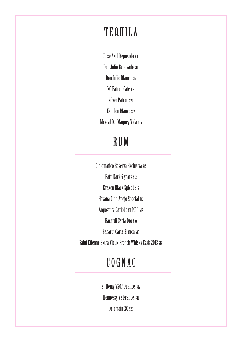## TEQUILA

Clase Azul Reposado \$46 Don Julio Reposado \$16 Don Julio Blanco \$15 XO Patron Café \$14 Silver Patron \$20 Espolon Blanco \$12 Mezcal Del Maguey Vida \$15

## RUM

Diplomatico Reserva Exclusiva \$15 Ratu Dark 5 years \$12 Kraken Black Spiced \$15 Havana Club Anejo Special \$12 Angostura Caribbean 1919 \$12 Bacardi Carta Oro \$10 Bacardi Carta Blanca \$13 Saint Etienne Extra Vieux French Whisky Cask 2013 \$19

## COGNAC

St. Remy VSOP France \$12 Hennessy VS France \$11 Delamain XO \$20